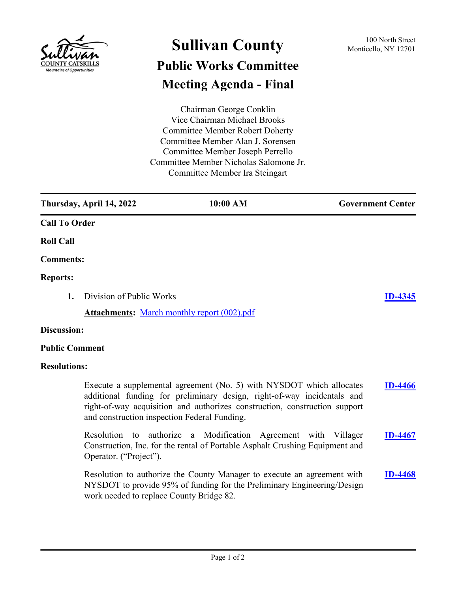

## **Sullivan County** 100 North Street **Public Works Committee Meeting Agenda - Final**

Chairman George Conklin Vice Chairman Michael Brooks Committee Member Robert Doherty Committee Member Alan J. Sorensen Committee Member Joseph Perrello Committee Member Nicholas Salomone Jr. Committee Member Ira Steingart

**Thursday, April 14, 2022 10:00 AM Government Center Call To Order Roll Call Comments: Reports: 1.** Division of Public Works **[ID-4345](http://sullivancountyny.legistar.com/gateway.aspx?m=l&id=/matter.aspx?key=1371) Attachments:** [March monthly report \(002\).pdf](http://sullivancountyny.legistar.com/gateway.aspx?M=F&ID=bed0bffc-a57f-4fbc-ae19-7337775c25d9.pdf) **Discussion:**

## **Public Comment**

## **Resolutions:**

Execute a supplemental agreement (No. 5) with NYSDOT which allocates additional funding for preliminary design, right-of-way incidentals and right-of-way acquisition and authorizes construction, construction support and construction inspection Federal Funding. **[ID-4466](http://sullivancountyny.legistar.com/gateway.aspx?m=l&id=/matter.aspx?key=1492)** Resolution to authorize a Modification Agreement with Villager Construction, Inc. for the rental of Portable Asphalt Crushing Equipment and Operator. ("Project"). **[ID-4467](http://sullivancountyny.legistar.com/gateway.aspx?m=l&id=/matter.aspx?key=1493)** Resolution to authorize the County Manager to execute an agreement with NYSDOT to provide 95% of funding for the Preliminary Engineering/Design **[ID-4468](http://sullivancountyny.legistar.com/gateway.aspx?m=l&id=/matter.aspx?key=1494)**

work needed to replace County Bridge 82.